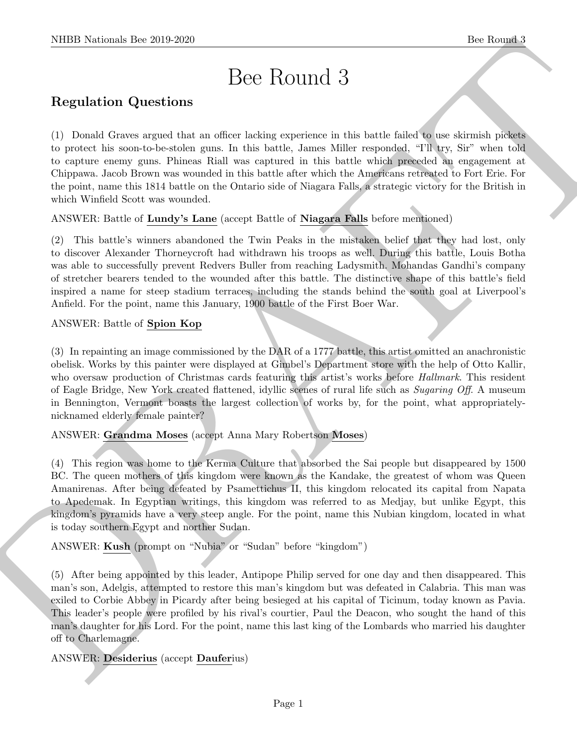# Bee Round 3

# Regulation Questions

(1) Donald Graves argued that an officer lacking experience in this battle failed to use skirmish pickets to protect his soon-to-be-stolen guns. In this battle, James Miller responded, "I'll try, Sir" when told to capture enemy guns. Phineas Riall was captured in this battle which preceded an engagement at Chippawa. Jacob Brown was wounded in this battle after which the Americans retreated to Fort Erie. For the point, name this 1814 battle on the Ontario side of Niagara Falls, a strategic victory for the British in which Winfield Scott was wounded.

ANSWER: Battle of Lundy's Lane (accept Battle of Niagara Falls before mentioned)

(2) This battle's winners abandoned the Twin Peaks in the mistaken belief that they had lost, only to discover Alexander Thorneycroft had withdrawn his troops as well. During this battle, Louis Botha was able to successfully prevent Redvers Buller from reaching Ladysmith. Mohandas Gandhi's company of stretcher bearers tended to the wounded after this battle. The distinctive shape of this battle's field inspired a name for steep stadium terraces, including the stands behind the south goal at Liverpool's Anfield. For the point, name this January, 1900 battle of the First Boer War.

## ANSWER: Battle of Spion Kop

(3) In repainting an image commissioned by the DAR of a 1777 battle, this artist omitted an anachronistic obelisk. Works by this painter were displayed at Gimbel's Department store with the help of Otto Kallir, who oversaw production of Christmas cards featuring this artist's works before *Hallmark*. This resident of Eagle Bridge, New York created flattened, idyllic scenes of rural life such as Sugaring Off. A museum in Bennington, Vermont boasts the largest collection of works by, for the point, what appropriatelynicknamed elderly female painter?

### ANSWER: Grandma Moses (accept Anna Mary Robertson Moses)

NIBB Noticeal- her 2019.269<br>
Dec Routin d $3$ <br>
Regulation Questions<br>
Dece Routin d $3$ <br>
Regulation Questions<br>
Dece Routin de Routin de Routin de Routin de Routin de Routin de Routin de Routin de Routin de Routin de Routin d (4) This region was home to the Kerma Culture that absorbed the Sai people but disappeared by 1500 BC. The queen mothers of this kingdom were known as the Kandake, the greatest of whom was Queen Amanirenas. After being defeated by Psamettichus II, this kingdom relocated its capital from Napata to Apedemak. In Egyptian writings, this kingdom was referred to as Medjay, but unlike Egypt, this kingdom's pyramids have a very steep angle. For the point, name this Nubian kingdom, located in what is today southern Egypt and norther Sudan.

ANSWER: Kush (prompt on "Nubia" or "Sudan" before "kingdom")

(5) After being appointed by this leader, Antipope Philip served for one day and then disappeared. This man's son, Adelgis, attempted to restore this man's kingdom but was defeated in Calabria. This man was exiled to Corbie Abbey in Picardy after being besieged at his capital of Ticinum, today known as Pavia. This leader's people were profiled by his rival's courtier, Paul the Deacon, who sought the hand of this man's daughter for his Lord. For the point, name this last king of the Lombards who married his daughter off to Charlemagne.

## ANSWER: Desiderius (accept Dauferius)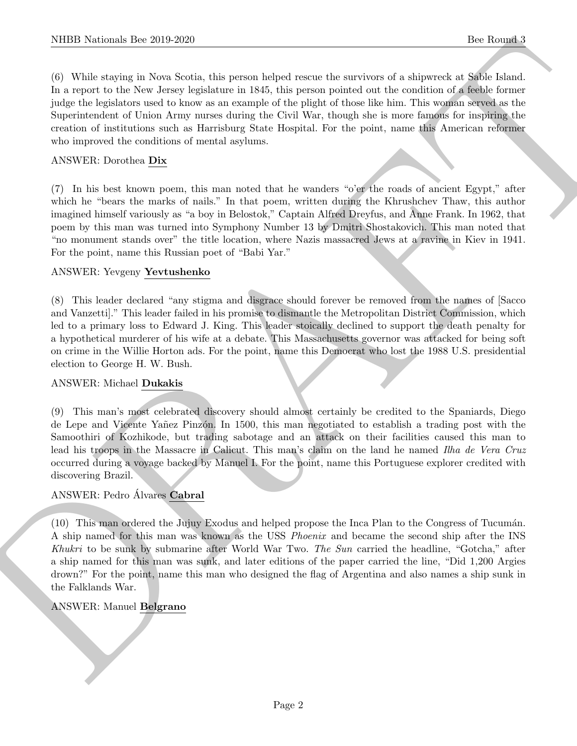NIBB Noticeals line 200 200<br>100 Noticeals line 200 200<br>100 Noticeals line areas line areas line areas line areas of a survivant of a subsection<br>of the respect to the New Berry eighten we will consider the figure point<br>of (6) While staying in Nova Scotia, this person helped rescue the survivors of a shipwreck at Sable Island. In a report to the New Jersey legislature in 1845, this person pointed out the condition of a feeble former judge the legislators used to know as an example of the plight of those like him. This woman served as the Superintendent of Union Army nurses during the Civil War, though she is more famous for inspiring the creation of institutions such as Harrisburg State Hospital. For the point, name this American reformer who improved the conditions of mental asylums.

#### ANSWER: Dorothea Dix

(7) In his best known poem, this man noted that he wanders "o'er the roads of ancient Egypt," after which he "bears the marks of nails." In that poem, written during the Khrushchev Thaw, this author imagined himself variously as "a boy in Belostok," Captain Alfred Dreyfus, and Anne Frank. In 1962, that poem by this man was turned into Symphony Number 13 by Dmitri Shostakovich. This man noted that "no monument stands over" the title location, where Nazis massacred Jews at a ravine in Kiev in 1941. For the point, name this Russian poet of "Babi Yar."

#### ANSWER: Yevgeny Yevtushenko

(8) This leader declared "any stigma and disgrace should forever be removed from the names of [Sacco and Vanzetti]." This leader failed in his promise to dismantle the Metropolitan District Commission, which led to a primary loss to Edward J. King. This leader stoically declined to support the death penalty for a hypothetical murderer of his wife at a debate. This Massachusetts governor was attacked for being soft on crime in the Willie Horton ads. For the point, name this Democrat who lost the 1988 U.S. presidential election to George H. W. Bush.

#### ANSWER: Michael Dukakis

(9) This man's most celebrated discovery should almost certainly be credited to the Spaniards, Diego de Lepe and Vicente Yañez Pinzón. In 1500, this man negotiated to establish a trading post with the Samoothiri of Kozhikode, but trading sabotage and an attack on their facilities caused this man to lead his troops in the Massacre in Calicut. This man's claim on the land he named Ilha de Vera Cruz occurred during a voyage backed by Manuel I. For the point, name this Portuguese explorer credited with discovering Brazil.

#### ANSWER: Pedro Alvares Cabral

(10) This man ordered the Jujuy Exodus and helped propose the Inca Plan to the Congress of Tucumán. A ship named for this man was known as the USS Phoenix and became the second ship after the INS Khukri to be sunk by submarine after World War Two. The Sun carried the headline, "Gotcha," after a ship named for this man was sunk, and later editions of the paper carried the line, "Did 1,200 Argies drown?" For the point, name this man who designed the flag of Argentina and also names a ship sunk in the Falklands War.

#### ANSWER: Manuel Belgrano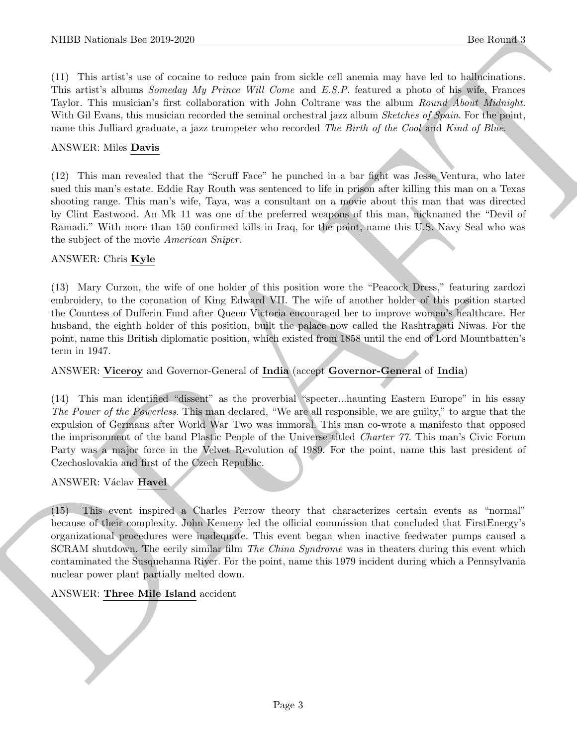(11) This artist's use of cocaine to reduce pain from sickle cell anemia may have led to hallucinations. This artist's albums Someday My Prince Will Come and E.S.P. featured a photo of his wife, Frances Taylor. This musician's first collaboration with John Coltrane was the album Round About Midnight. With Gil Evans, this musician recorded the seminal orchestral jazz album Sketches of Spain. For the point, name this Julliard graduate, a jazz trumpeter who recorded The Birth of the Cool and Kind of Blue.

#### ANSWER: Miles Davis

(12) This man revealed that the "Scruff Face" he punched in a bar fight was Jesse Ventura, who later sued this man's estate. Eddie Ray Routh was sentenced to life in prison after killing this man on a Texas shooting range. This man's wife, Taya, was a consultant on a movie about this man that was directed by Clint Eastwood. An Mk 11 was one of the preferred weapons of this man, nicknamed the "Devil of Ramadi." With more than 150 confirmed kills in Iraq, for the point, name this U.S. Navy Seal who was the subject of the movie American Sniper.

#### ANSWER: Chris Kyle

(13) Mary Curzon, the wife of one holder of this position wore the "Peacock Dress," featuring zardozi embroidery, to the coronation of King Edward VII. The wife of another holder of this position started the Countess of Dufferin Fund after Queen Victoria encouraged her to improve women's healthcare. Her husband, the eighth holder of this position, built the palace now called the Rashtrapati Niwas. For the point, name this British diplomatic position, which existed from 1858 until the end of Lord Mountbatten's term in 1947.

#### ANSWER: Viceroy and Governor-General of India (accept Governor-General of India)

(14) This man identified "dissent" as the proverbial "specter...haunting Eastern Europe" in his essay The Power of the Powerless. This man declared, "We are all responsible, we are guilty," to argue that the expulsion of Germans after World War Two was immoral. This man co-wrote a manifesto that opposed the imprisonment of the band Plastic People of the Universe titled Charter 77. This man's Civic Forum Party was a major force in the Velvet Revolution of 1989. For the point, name this last president of Czechoslovakia and first of the Czech Republic.

#### ANSWER: Václav Havel

NIBB Noticeals line 200 200<br>
The Round C receives the control to the state of the state of states and the state of the state of the state<br>
This arrest channel and the state of the collection and other and the state of the (15) This event inspired a Charles Perrow theory that characterizes certain events as "normal" because of their complexity. John Kemeny led the official commission that concluded that FirstEnergy's organizational procedures were inadequate. This event began when inactive feedwater pumps caused a SCRAM shutdown. The eerily similar film The China Syndrome was in theaters during this event which contaminated the Susquehanna River. For the point, name this 1979 incident during which a Pennsylvania nuclear power plant partially melted down.

#### ANSWER: Three Mile Island accident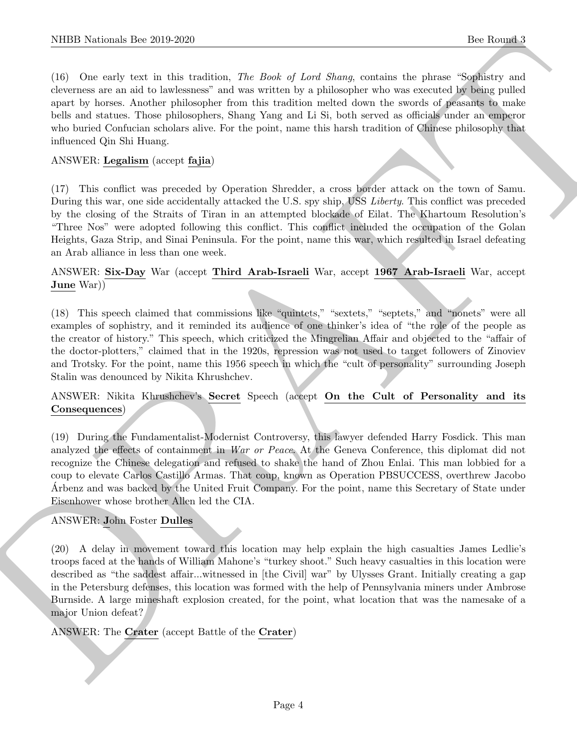NIBB Noticeals line 200 200<br>
100 Roots of a third testichan, For Book of Leet Shoon, contains the shoot of the South of the Shoot school of the state of the state of the state of the state of the state of the state of the (16) One early text in this tradition, The Book of Lord Shang, contains the phrase "Sophistry and cleverness are an aid to lawlessness" and was written by a philosopher who was executed by being pulled apart by horses. Another philosopher from this tradition melted down the swords of peasants to make bells and statues. Those philosophers, Shang Yang and Li Si, both served as officials under an emperor who buried Confucian scholars alive. For the point, name this harsh tradition of Chinese philosophy that influenced Qin Shi Huang.

#### ANSWER: Legalism (accept fajia)

(17) This conflict was preceded by Operation Shredder, a cross border attack on the town of Samu. During this war, one side accidentally attacked the U.S. spy ship, USS Liberty. This conflict was preceded by the closing of the Straits of Tiran in an attempted blockade of Eilat. The Khartoum Resolution's "Three Nos" were adopted following this conflict. This conflict included the occupation of the Golan Heights, Gaza Strip, and Sinai Peninsula. For the point, name this war, which resulted in Israel defeating an Arab alliance in less than one week.

#### ANSWER: Six-Day War (accept Third Arab-Israeli War, accept 1967 Arab-Israeli War, accept June War))

(18) This speech claimed that commissions like "quintets," "sextets," "septets," and "nonets" were all examples of sophistry, and it reminded its audience of one thinker's idea of "the role of the people as the creator of history." This speech, which criticized the Mingrelian Affair and objected to the "affair of the doctor-plotters," claimed that in the 1920s, repression was not used to target followers of Zinoviev and Trotsky. For the point, name this 1956 speech in which the "cult of personality" surrounding Joseph Stalin was denounced by Nikita Khrushchev.

#### ANSWER: Nikita Khrushchev's Secret Speech (accept On the Cult of Personality and its Consequences)

(19) During the Fundamentalist-Modernist Controversy, this lawyer defended Harry Fosdick. This man analyzed the effects of containment in War or Peace. At the Geneva Conference, this diplomat did not recognize the Chinese delegation and refused to shake the hand of Zhou Enlai. This man lobbied for a coup to elevate Carlos Castillo Armas. That coup, known as Operation PBSUCCESS, overthrew Jacobo Arbenz and was backed by the United Fruit Company. For the point, name this Secretary of State under ´ Eisenhower whose brother Allen led the CIA.

#### ANSWER: John Foster Dulles

(20) A delay in movement toward this location may help explain the high casualties James Ledlie's troops faced at the hands of William Mahone's "turkey shoot." Such heavy casualties in this location were described as "the saddest affair...witnessed in [the Civil] war" by Ulysses Grant. Initially creating a gap in the Petersburg defenses, this location was formed with the help of Pennsylvania miners under Ambrose Burnside. A large mineshaft explosion created, for the point, what location that was the namesake of a major Union defeat?

#### ANSWER: The Crater (accept Battle of the Crater)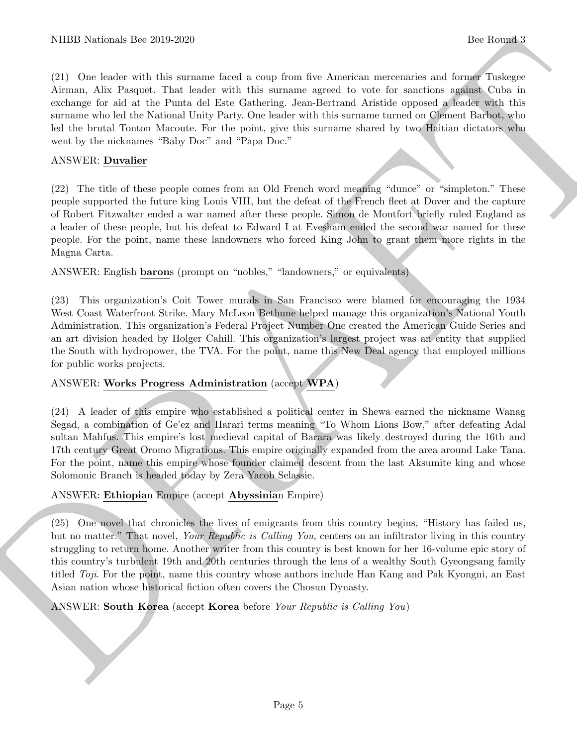(21) One leader with this surname faced a coup from five American mercenaries and former Tuskegee Airman, Alix Pasquet. That leader with this surname agreed to vote for sanctions against Cuba in exchange for aid at the Punta del Este Gathering. Jean-Bertrand Aristide opposed a leader with this surname who led the National Unity Party. One leader with this surname turned on Clement Barbot, who led the brutal Tonton Macoute. For the point, give this surname shared by two Haitian dictators who went by the nicknames "Baby Doc" and "Papa Doc."

#### ANSWER: Duvalier

(22) The title of these people comes from an Old French word meaning "dunce" or "simpleton." These people supported the future king Louis VIII, but the defeat of the French fleet at Dover and the capture of Robert Fitzwalter ended a war named after these people. Simon de Montfort briefly ruled England as a leader of these people, but his defeat to Edward I at Evesham ended the second war named for these people. For the point, name these landowners who forced King John to grant them more rights in the Magna Carta.

ANSWER: English barons (prompt on "nobles," "landowners," or equivalents)

NIBB Noticeals line 200 200<br>
CD Oscie with this answer focal cycle and for the Australian intertains and four line finders of the second of the second of the second of the second of the second of the basis of the basis of (23) This organization's Coit Tower murals in San Francisco were blamed for encouraging the 1934 West Coast Waterfront Strike. Mary McLeon Bethune helped manage this organization's National Youth Administration. This organization's Federal Project Number One created the American Guide Series and an art division headed by Holger Cahill. This organization's largest project was an entity that supplied the South with hydropower, the TVA. For the point, name this New Deal agency that employed millions for public works projects.

#### ANSWER: Works Progress Administration (accept WPA)

(24) A leader of this empire who established a political center in Shewa earned the nickname Wanag Segad, a combination of Ge'ez and Harari terms meaning "To Whom Lions Bow," after defeating Adal sultan Mahfus. This empire's lost medieval capital of Barara was likely destroyed during the 16th and 17th century Great Oromo Migrations. This empire originally expanded from the area around Lake Tana. For the point, name this empire whose founder claimed descent from the last Aksumite king and whose Solomonic Branch is headed today by Zera Yacob Selassie.

ANSWER: Ethiopian Empire (accept Abyssinian Empire)

(25) One novel that chronicles the lives of emigrants from this country begins, "History has failed us, but no matter." That novel, Your Republic is Calling You, centers on an infiltrator living in this country struggling to return home. Another writer from this country is best known for her 16-volume epic story of this country's turbulent 19th and 20th centuries through the lens of a wealthy South Gyeongsang family titled Toji. For the point, name this country whose authors include Han Kang and Pak Kyongni, an East Asian nation whose historical fiction often covers the Chosun Dynasty.

ANSWER: South Korea (accept Korea before Your Republic is Calling You)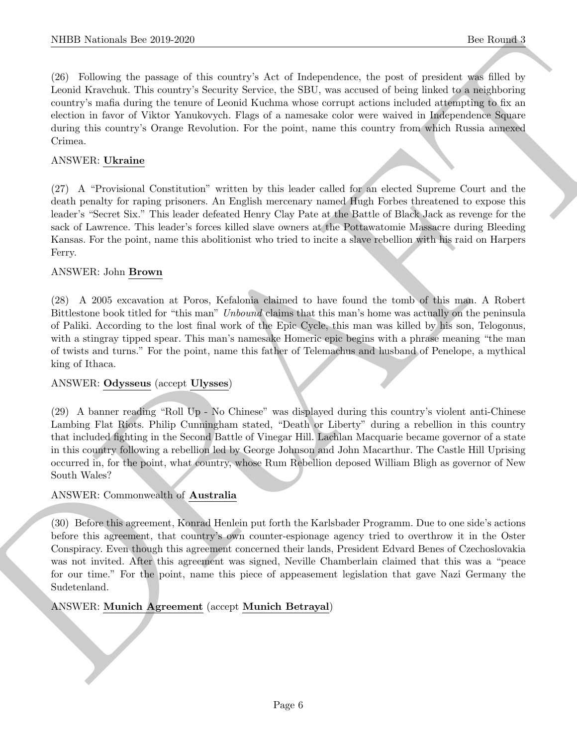(26) Following the passage of this country's Act of Independence, the post of president was filled by Leonid Kravchuk. This country's Security Service, the SBU, was accused of being linked to a neighboring country's mafia during the tenure of Leonid Kuchma whose corrupt actions included attempting to fix an election in favor of Viktor Yanukovych. Flags of a namesake color were waived in Independence Square during this country's Orange Revolution. For the point, name this country from which Russia annexed Crimea.

#### ANSWER: Ukraine

(27) A "Provisional Constitution" written by this leader called for an elected Supreme Court and the death penalty for raping prisoners. An English mercenary named Hugh Forbes threatened to expose this leader's "Secret Six." This leader defeated Henry Clay Pate at the Battle of Black Jack as revenge for the sack of Lawrence. This leader's forces killed slave owners at the Pottawatomie Massacre during Bleeding Kansas. For the point, name this abolitionist who tried to incite a slave rebellion with his raid on Harpers Ferry.

#### ANSWER: John Brown

DRAFT (28) A 2005 excavation at Poros, Kefalonia claimed to have found the tomb of this man. A Robert Bittlestone book titled for "this man" Unbound claims that this man's home was actually on the peninsula of Paliki. According to the lost final work of the Epic Cycle, this man was killed by his son, Telogonus, with a stingray tipped spear. This man's namesake Homeric epic begins with a phrase meaning "the man of twists and turns." For the point, name this father of Telemachus and husband of Penelope, a mythical king of Ithaca.

#### ANSWER: Odysseus (accept Ulysses)

(29) A banner reading "Roll Up - No Chinese" was displayed during this country's violent anti-Chinese Lambing Flat Riots. Philip Cunningham stated, "Death or Liberty" during a rebellion in this country that included fighting in the Second Battle of Vinegar Hill. Lachlan Macquarie became governor of a state in this country following a rebellion led by George Johnson and John Macarthur. The Castle Hill Uprising occurred in, for the point, what country, whose Rum Rebellion deposed William Bligh as governor of New South Wales?

#### ANSWER: Commonwealth of Australia

(30) Before this agreement, Konrad Henlein put forth the Karlsbader Programm. Due to one side's actions before this agreement, that country's own counter-espionage agency tried to overthrow it in the Oster Conspiracy. Even though this agreement concerned their lands, President Edvard Benes of Czechoslovakia was not invited. After this agreement was signed, Neville Chamberlain claimed that this was a "peace for our time." For the point, name this piece of appeasement legislation that gave Nazi Germany the Sudetenland.

#### ANSWER: Munich Agreement (accept Munich Betrayal)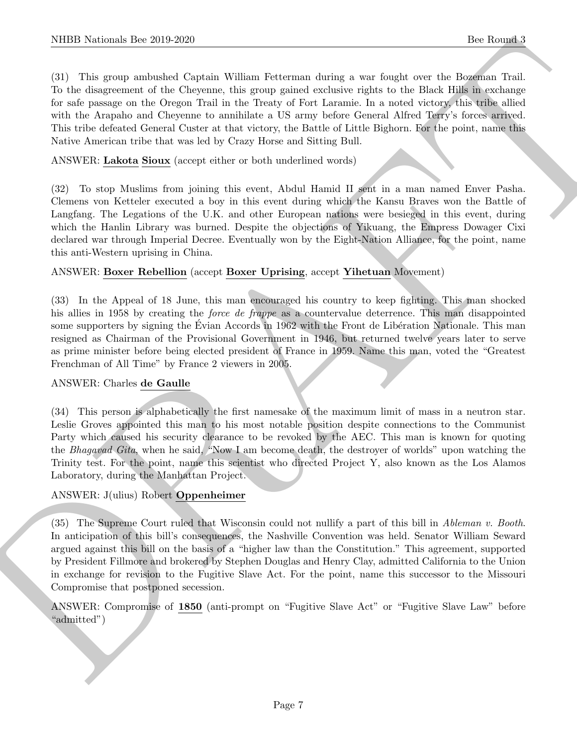NIBB Noticeals line 200 200<br>
16: Rooms a line of the Capital Wilson Felterson data; a way found two the Rooms and<br>
16: The chapter and the Capital Wilson Felterson data; a way found two the Blue Plats as Noticeal<br>
17: One (31) This group ambushed Captain William Fetterman during a war fought over the Bozeman Trail. To the disagreement of the Cheyenne, this group gained exclusive rights to the Black Hills in exchange for safe passage on the Oregon Trail in the Treaty of Fort Laramie. In a noted victory, this tribe allied with the Arapaho and Cheyenne to annihilate a US army before General Alfred Terry's forces arrived. This tribe defeated General Custer at that victory, the Battle of Little Bighorn. For the point, name this Native American tribe that was led by Crazy Horse and Sitting Bull.

ANSWER: Lakota Sioux (accept either or both underlined words)

(32) To stop Muslims from joining this event, Abdul Hamid II sent in a man named Enver Pasha. Clemens von Ketteler executed a boy in this event during which the Kansu Braves won the Battle of Langfang. The Legations of the U.K. and other European nations were besieged in this event, during which the Hanlin Library was burned. Despite the objections of Yikuang, the Empress Dowager Cixi declared war through Imperial Decree. Eventually won by the Eight-Nation Alliance, for the point, name this anti-Western uprising in China.

#### ANSWER: Boxer Rebellion (accept Boxer Uprising, accept Yihetuan Movement)

(33) In the Appeal of 18 June, this man encouraged his country to keep fighting. This man shocked his allies in 1958 by creating the *force de frappe* as a countervalue deterrence. This man disappointed some supporters by signing the Evian Accords in 1962 with the Front de Libération Nationale. This man resigned as Chairman of the Provisional Government in 1946, but returned twelve years later to serve as prime minister before being elected president of France in 1959. Name this man, voted the "Greatest Frenchman of All Time" by France 2 viewers in 2005.

#### ANSWER: Charles de Gaulle

(34) This person is alphabetically the first namesake of the maximum limit of mass in a neutron star. Leslie Groves appointed this man to his most notable position despite connections to the Communist Party which caused his security clearance to be revoked by the AEC. This man is known for quoting the Bhagavad Gita, when he said, "Now I am become death, the destroyer of worlds" upon watching the Trinity test. For the point, name this scientist who directed Project Y, also known as the Los Alamos Laboratory, during the Manhattan Project.

#### ANSWER: J(ulius) Robert Oppenheimer

(35) The Supreme Court ruled that Wisconsin could not nullify a part of this bill in Ableman v. Booth. In anticipation of this bill's consequences, the Nashville Convention was held. Senator William Seward argued against this bill on the basis of a "higher law than the Constitution." This agreement, supported by President Fillmore and brokered by Stephen Douglas and Henry Clay, admitted California to the Union in exchange for revision to the Fugitive Slave Act. For the point, name this successor to the Missouri Compromise that postponed secession.

ANSWER: Compromise of 1850 (anti-prompt on "Fugitive Slave Act" or "Fugitive Slave Law" before "admitted")